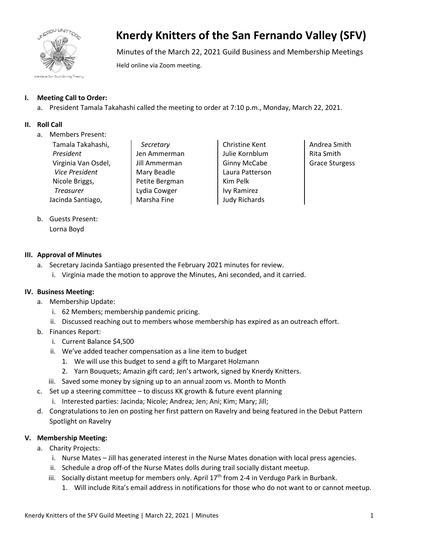

# **Knerdy Knitters of the San Fernando Valley (SFV)**

Minutes of the March 22, 2021 Guild Business and Membership Meetings

Held online via Zoom meeting.

# **I. Meeting Call to Order:**

a. President Tamala Takahashi called the meeting to order at 7:10 p.m., Monday, March 22, 2021.

## **II. Roll Call**

a. Members Present:

| Tamala Takahashi,   |
|---------------------|
| President           |
| Virginia Van Osdel, |
| Vice President      |
| Nicole Briggs,      |
| <b>Treasurer</b>    |
| Jacinda Santiago,   |

*Secretary* Jen Ammerman Jill Ammerman Mary Beadle Petite Bergman Lydia Cowger Marsha Fine

Christine Kent Julie Kornblum Ginny McCabe Laura Patterson Kim Pelk Ivy Ramirez Judy Richards

Andrea Smith Rita Smith Grace Sturgess

b. Guests Present: Lorna Boyd

### **III. Approval of Minutes**

- a. Secretary Jacinda Santiago presented the February 2021 minutes for review.
	- i. Virginia made the motion to approve the Minutes, Ani seconded, and it carried.

#### **IV. Business Meeting:**

- a. Membership Update:
	- i. 62 Members; membership pandemic pricing.
	- ii. Discussed reaching out to members whose membership has expired as an outreach effort.
- b. Finances Report:
	- i. Current Balance \$4,500
	- ii. We've added teacher compensation as a line item to budget
		- 1. We will use this budget to send a gift to Margaret Holzmann
		- 2. Yarn Bouquets; Amazin gift card; Jen's artwork, signed by Knerdy Knitters.
	- iii. Saved some money by signing up to an annual zoom vs. Month to Month
- c. Set up a steering committee to discuss KK growth & future event planning
	- i. Interested parties: Jacinda; Nicole; Andrea; Jen; Ani; Kim; Mary; Jill;
- d. Congratulations to Jen on posting her first pattern on Ravelry and being featured in the Debut Pattern Spotlight on Ravelry

# **V. Membership Meeting:**

- a. Charity Projects:
	- i. Nurse Mates Jill has generated interest in the Nurse Mates donation with local press agencies.
	- ii. Schedule a drop off-of the Nurse Mates dolls during trail socially distant meetup.
	- iii. Socially distant meetup for members only. April  $17<sup>th</sup>$  from 2-4 in Verdugo Park in Burbank.
		- 1. Will include Rita's email address in notifications for those who do not want to or cannot meetup.